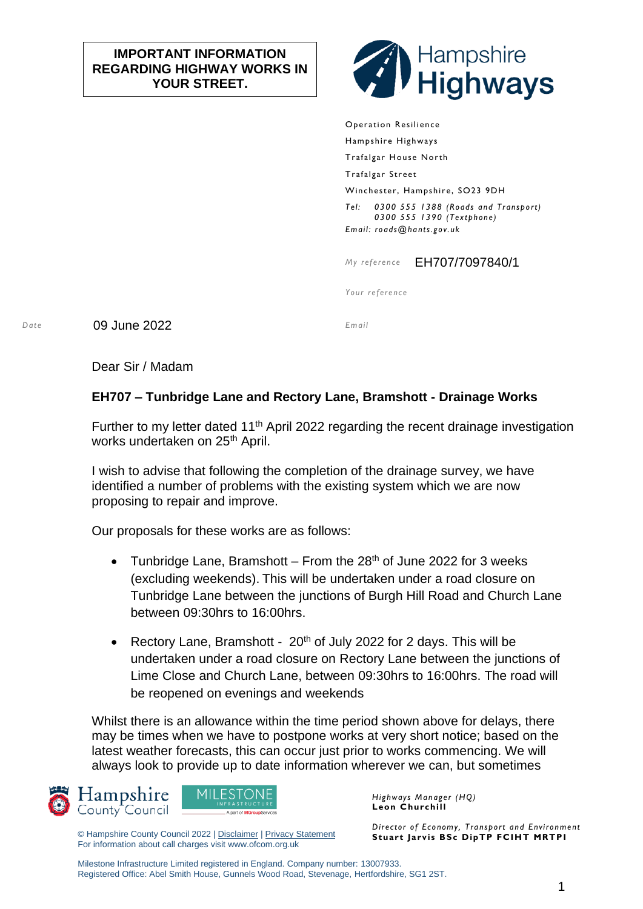## **IMPORTANT INFORMATION REGARDING HIGHWAY WORKS IN YOUR STREET.**



Operation Resilience Hampshire Highways Trafalgar House North Trafalgar Street Winchester, Hampshire, SO23 9DH *Tel: 0300 555 1388 (Roads and Transport) 0300 555 1390 (Textphone) Email: roads@hants.gov.uk*

*My reference* EH707/7097840/1

*Your reference*

*Date* 09 June 2022 *Email*

Dear Sir / Madam

## **EH707 – Tunbridge Lane and Rectory Lane, Bramshott - Drainage Works**

Further to my letter dated  $11<sup>th</sup>$  April 2022 regarding the recent drainage investigation works undertaken on 25<sup>th</sup> April.

I wish to advise that following the completion of the drainage survey, we have identified a number of problems with the existing system which we are now proposing to repair and improve.

Our proposals for these works are as follows:

- Tunbridge Lane, Bramshott From the  $28<sup>th</sup>$  of June 2022 for 3 weeks (excluding weekends). This will be undertaken under a road closure on Tunbridge Lane between the junctions of Burgh Hill Road and Church Lane between 09:30hrs to 16:00hrs.
- Rectory Lane, Bramshott  $20<sup>th</sup>$  of July 2022 for 2 days. This will be undertaken under a road closure on Rectory Lane between the junctions of Lime Close and Church Lane, between 09:30hrs to 16:00hrs. The road will be reopened on evenings and weekends

Whilst there is an allowance within the time period shown above for delays, there may be times when we have to postpone works at very short notice; based on the latest weather forecasts, this can occur just prior to works commencing. We will always look to provide up to date information wherever we can, but sometimes





© Hampshire County Council 2022 | [Disclaimer](http://www3.hants.gov.uk/disclaimer) [| Privacy Statement](http://www3.hants.gov.uk/privacy) For information about call charges visit www.ofcom.org.uk

*Highways Manager (HQ)* **Leon Churchill**

*Director of Economy, Transport and Environment* **Stuart Jarvis BSc DipTP FCIHT MRTPI**

Milestone Infrastructure Limited registered in England. Company number: 13007933. Registered Office: Abel Smith House, Gunnels Wood Road, Stevenage, Hertfordshire, SG1 2ST.